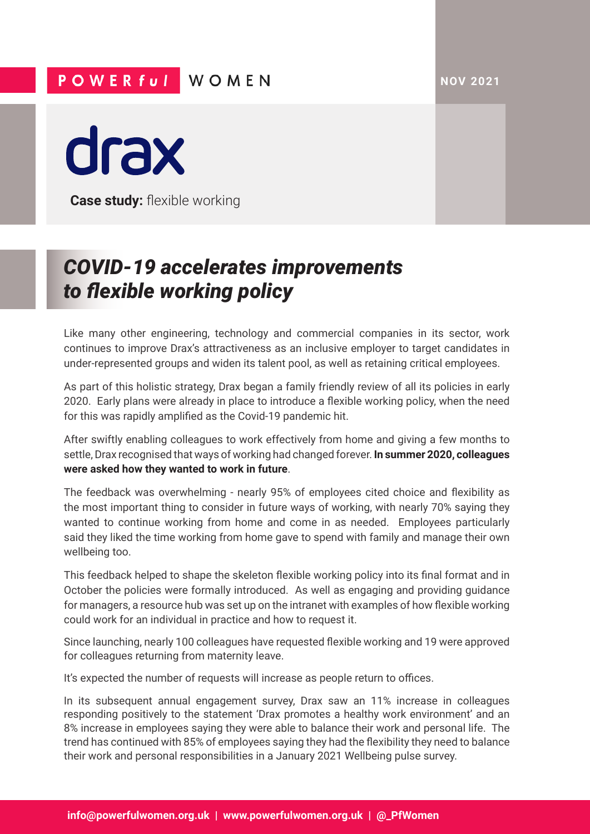**NOV 2021**

## POWER ful WOMEN

drax

**Case study: flexible working** 

## *COVID-19 accelerates improvements to flexible working policy*

Like many other engineering, technology and commercial companies in its sector, work continues to improve Drax's attractiveness as an inclusive employer to target candidates in under-represented groups and widen its talent pool, as well as retaining critical employees.

As part of this holistic strategy, Drax began a family friendly review of all its policies in early 2020. Early plans were already in place to introduce a flexible working policy, when the need for this was rapidly amplified as the Covid-19 pandemic hit.

After swiftly enabling colleagues to work effectively from home and giving a few months to settle, Drax recognised that ways of working had changed forever. **In summer 2020, colleagues were asked how they wanted to work in future**.

The feedback was overwhelming - nearly 95% of employees cited choice and flexibility as the most important thing to consider in future ways of working, with nearly 70% saying they wanted to continue working from home and come in as needed. Employees particularly said they liked the time working from home gave to spend with family and manage their own wellbeing too.

This feedback helped to shape the skeleton flexible working policy into its final format and in October the policies were formally introduced. As well as engaging and providing guidance for managers, a resource hub was set up on the intranet with examples of how flexible working could work for an individual in practice and how to request it.

Since launching, nearly 100 colleagues have requested flexible working and 19 were approved for colleagues returning from maternity leave.

It's expected the number of requests will increase as people return to offices.

In its subsequent annual engagement survey, Drax saw an 11% increase in colleagues responding positively to the statement 'Drax promotes a healthy work environment' and an 8% increase in employees saying they were able to balance their work and personal life. The trend has continued with 85% of employees saying they had the flexibility they need to balance their work and personal responsibilities in a January 2021 Wellbeing pulse survey.